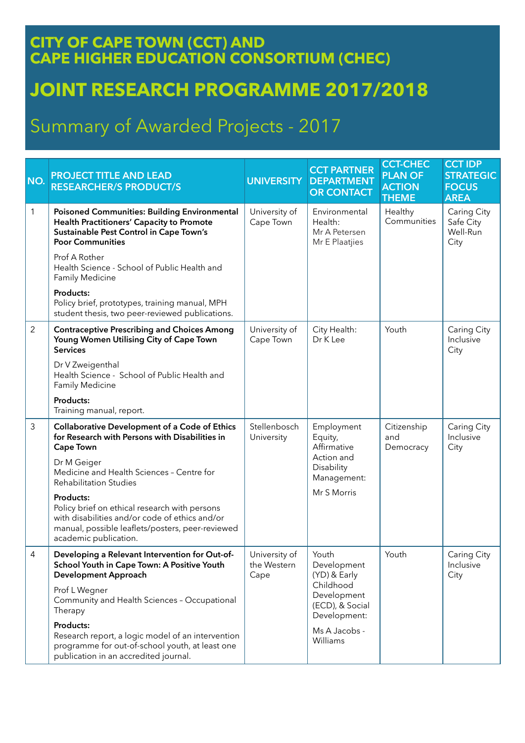## **CITY OF CAPE TOWN (CCT) AND CAPE HIGHER EDUCATION CONSORTIUM (CHEC)**

## **JOINT RESEARCH PROGRAMME 2017/2018**

## Summary of Awarded Projects - 2017

| NO.            | <b>PROJECT TITLE AND LEAD</b><br><b>RESEARCHER/S PRODUCT/S</b>                                                                                                                            | <b>UNIVERSITY</b>                    | <b>CCT PARTNER</b><br><b>DEPARTMENT</b><br><b>OR CONTACT</b>                                        | <b>CCT-CHEC</b><br><b>PLAN OF</b><br><b>ACTION</b><br><b>THEME</b> | <b>CCT IDP</b><br><b>STRATEGIC</b><br><b>FOCUS</b><br><b>AREA</b> |
|----------------|-------------------------------------------------------------------------------------------------------------------------------------------------------------------------------------------|--------------------------------------|-----------------------------------------------------------------------------------------------------|--------------------------------------------------------------------|-------------------------------------------------------------------|
| 1              | <b>Poisoned Communities: Building Environmental</b><br><b>Health Practitioners' Capacity to Promote</b><br>Sustainable Pest Control in Cape Town's<br><b>Poor Communities</b>             | University of<br>Cape Town           | Environmental<br>Health:<br>Mr A Petersen<br>Mr E Plaatjies                                         | Healthy<br>Communities                                             | Caring City<br>Safe City<br>Well-Run<br>City                      |
|                | Prof A Rother<br>Health Science - School of Public Health and<br>Family Medicine                                                                                                          |                                      |                                                                                                     |                                                                    |                                                                   |
|                | Products:<br>Policy brief, prototypes, training manual, MPH<br>student thesis, two peer-reviewed publications.                                                                            |                                      |                                                                                                     |                                                                    |                                                                   |
| $\overline{2}$ | <b>Contraceptive Prescribing and Choices Among</b><br>Young Women Utilising City of Cape Town<br><b>Services</b>                                                                          | University of<br>Cape Town           | City Health:<br>Dr K Lee                                                                            | Youth                                                              | Caring City<br>Inclusive<br>City                                  |
|                | Dr V Zweigenthal<br>Health Science - School of Public Health and<br>Family Medicine                                                                                                       |                                      |                                                                                                     |                                                                    |                                                                   |
|                | Products:<br>Training manual, report.                                                                                                                                                     |                                      |                                                                                                     |                                                                    |                                                                   |
| 3              | <b>Collaborative Development of a Code of Ethics</b><br>for Research with Persons with Disabilities in<br><b>Cape Town</b>                                                                | Stellenbosch<br>University           | Employment<br>Equity,<br>Affirmative<br>Action and<br>Disability<br>Management:                     | Citizenship<br>and<br>Democracy                                    | Caring City<br>Inclusive<br>City                                  |
|                | Dr M Geiger<br>Medicine and Health Sciences - Centre for<br><b>Rehabilitation Studies</b>                                                                                                 |                                      |                                                                                                     |                                                                    |                                                                   |
|                | Products:<br>Policy brief on ethical research with persons<br>with disabilities and/or code of ethics and/or<br>manual, possible leaflets/posters, peer-reviewed<br>academic publication. |                                      | Mr S Morris                                                                                         |                                                                    |                                                                   |
| 4              | Developing a Relevant Intervention for Out-of-<br>School Youth in Cape Town: A Positive Youth<br><b>Development Approach</b>                                                              | University of<br>the Western<br>Cape | Youth<br>Development<br>(YD) & Early<br>Childhood<br>Development<br>(ECD), & Social<br>Development: | Youth                                                              | Caring City<br>Inclusive<br>City                                  |
|                | Prof L Wegner<br>Community and Health Sciences - Occupational<br>Therapy                                                                                                                  |                                      |                                                                                                     |                                                                    |                                                                   |
|                | Products:<br>Research report, a logic model of an intervention<br>programme for out-of-school youth, at least one<br>publication in an accredited journal.                                |                                      | Ms A Jacobs -<br>Williams                                                                           |                                                                    |                                                                   |